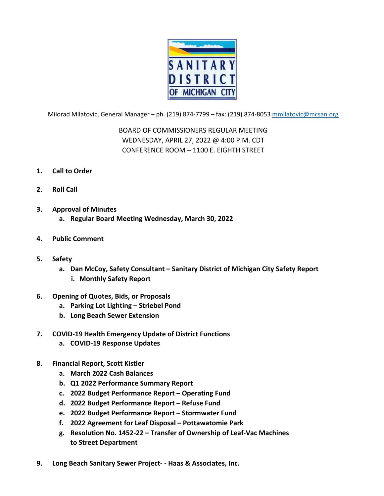

Milorad Milatovic, General Manager – ph. (219) 874‐7799 – fax: (219) 874‐8053 mmilatovic@mcsan.org

BOARD OF COMMISSIONERS REGULAR MEETING WEDNESDAY, APRIL 27, 2022 @ 4:00 P.M. CDT CONFERENCE ROOM – 1100 E. EIGHTH STREET

- **1. Call to Order**
- **2. Roll Call**
- **3. Approval of Minutes**
	- **a. Regular Board Meeting Wednesday, March 30, 2022**
- **4. Public Comment**
- **5. Safety**
	- **a. Dan McCoy, Safety Consultant – Sanitary District of Michigan City Safety Report i. Monthly Safety Report**
- **6. Opening of Quotes, Bids, or Proposals**
	- **a. Parking Lot Lighting – Striebel Pond**
	- **b. Long Beach Sewer Extension**
- **7. COVID‐19 Health Emergency Update of District Functions**
	- **a. COVID‐19 Response Updates**
- **8. Financial Report, Scott Kistler**
	- **a. March 2022 Cash Balances**
	- **b. Q1 2022 Performance Summary Report**
	- **c. 2022 Budget Performance Report – Operating Fund**
	- **d. 2022 Budget Performance Report – Refuse Fund**
	- **e. 2022 Budget Performance Report – Stormwater Fund**
	- **f. 2022 Agreement for Leaf Disposal – Pottawatomie Park**
	- **g. Resolution No. 1452‐22 – Transfer of Ownership of Leaf‐Vac Machines to Street Department**
- **9. Long Beach Sanitary Sewer Project‐ ‐ Haas & Associates, Inc.**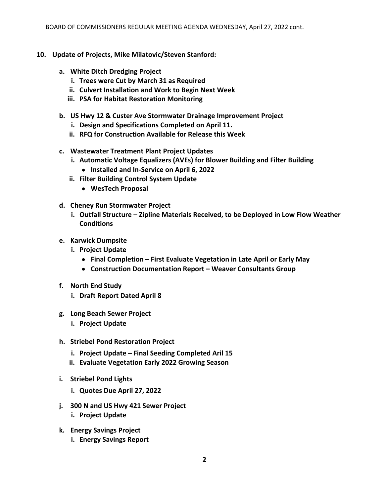- **10. Update of Projects, Mike Milatovic/Steven Stanford:**
	- **a. White Ditch Dredging Project**
		- **i. Trees were Cut by March 31 as Required**
		- **ii. Culvert Installation and Work to Begin Next Week**
		- **iii. PSA for Habitat Restoration Monitoring**
	- **b. US Hwy 12 & Custer Ave Stormwater Drainage Improvement Project**
		- **i. Design and Specifications Completed on April 11.**
		- **ii. RFQ for Construction Available for Release this Week**
	- **c. Wastewater Treatment Plant Project Updates**
		- **i. Automatic Voltage Equalizers (AVEs) for Blower Building and Filter Building**
			- **Installed and In‐Service on April 6, 2022**
		- **ii. Filter Building Control System Update**
			- **WesTech Proposal**
	- **d. Cheney Run Stormwater Project**
		- **i. Outfall Structure – Zipline Materials Received, to be Deployed in Low Flow Weather Conditions**
	- **e. Karwick Dumpsite**
		- **i. Project Update**
			- **Final Completion – First Evaluate Vegetation in Late April or Early May**
			- **Construction Documentation Report – Weaver Consultants Group**
	- **f. North End Study**
		- **i. Draft Report Dated April 8**
	- **g. Long Beach Sewer Project**
		- **i. Project Update**
	- **h. Striebel Pond Restoration Project**
		- **i. Project Update – Final Seeding Completed Aril 15**
		- **ii. Evaluate Vegetation Early 2022 Growing Season**
	- **i. Striebel Pond Lights**
		- **i. Quotes Due April 27, 2022**
	- **j. 300 N and US Hwy 421 Sewer Project**
		- **i. Project Update**
	- **k. Energy Savings Project**
		- **i. Energy Savings Report**